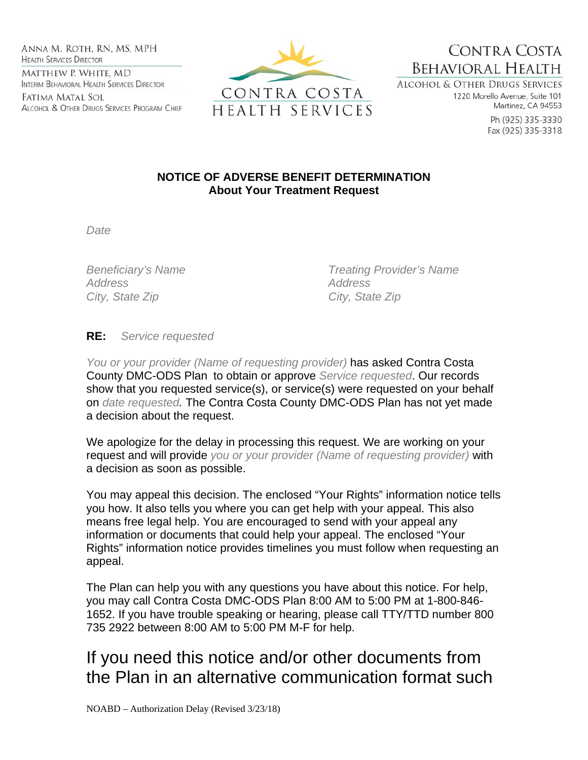Anna M. Roth, RN, MS, MPH **HEALTH SERVICES DIRECTOR** MATTHEW P. WHITE, MD INTERIM BEHAVIORAL HEALTH SERVICES DIRECTOR

Fatima Matal Sol ALCOHOL & OTHER DRUGS SERVICES PROGRAM CHIEF



**BEHAVIORAL HEALTH ALCOHOL & OTHER DRUGS SERVICES** 

1220 Morello Avenue, Suite 101 Martinez, CA 94553

CONTRA COSTA

Ph (925) 335-3330 Fax (925) 335-3318

## **NOTICE OF ADVERSE BENEFIT DETERMINATION About Your Treatment Request**

*Date* 

*Address Address*  City, State Zip **City**, State Zip

*Beneficiary's Name Treating Provider's Name* 

## **RE:** *Service requested*

*You or your provider (Name of requesting provider)* has asked Contra Costa County DMC-ODS Plan to obtain or approve *Service requested*. Our records show that you requested service(s), or service(s) were requested on your behalf on *date requested.* The Contra Costa County DMC-ODS Plan has not yet made a decision about the request.

We apologize for the delay in processing this request. We are working on your request and will provide *you or your provider (Name of requesting provider)* with a decision as soon as possible.

You may appeal this decision. The enclosed "Your Rights" information notice tells you how. It also tells you where you can get help with your appeal. This also means free legal help. You are encouraged to send with your appeal any information or documents that could help your appeal. The enclosed "Your Rights" information notice provides timelines you must follow when requesting an appeal.

The Plan can help you with any questions you have about this notice. For help, you may call Contra Costa DMC-ODS Plan 8:00 AM to 5:00 PM at 1-800-846- 1652. If you have trouble speaking or hearing, please call TTY/TTD number 800 735 2922 between 8:00 AM to 5:00 PM M-F for help.

## If you need this notice and/or other documents from the Plan in an alternative communication format such